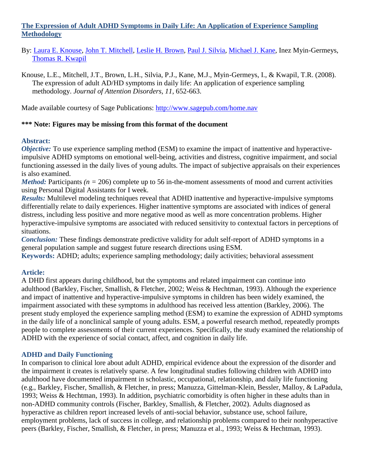# **The Expression of Adult ADHD Symptoms in Daily Life: An Application of Experience Sampling Methodology**

- By: [Laura E. Knouse,](http://libres.uncg.edu/ir/uncg/clist.aspx?id=1973) [John T. Mitchell,](http://libres.uncg.edu/ir/uncg/clist.aspx?id=2952) [Leslie H. Brown,](http://libres.uncg.edu/ir/uncg/clist.aspx?id=2417) [Paul J. Silvia,](http://libres.uncg.edu/ir/uncg/clist.aspx?id=402) [Michael J. Kane,](http://libres.uncg.edu/ir/uncg/clist.aspx?id=312) Inez Myin-Germeys, [Thomas R. Kwapil](http://libres.uncg.edu/ir/uncg/clist.aspx?id=661)
- Knouse, L.E., Mitchell, J.T., Brown, L.H., Silvia, P.J., Kane, M.J., Myin-Germeys, I., & Kwapil, T.R. (2008). The expression of adult AD/HD symptoms in daily life: An application of experience sampling methodology. *Journal of Attention Disorders, 11*, 652-663.

Made available courtesy of Sage Publications:<http://www.sagepub.com/home.nav>

# **\*\*\* Note: Figures may be missing from this format of the document**

# **Abstract:**

*Objective:* To use experience sampling method (ESM) to examine the impact of inattentive and hyperactiveimpulsive ADHD symptoms on emotional well-being, activities and distress, cognitive impairment, and social functioning assessed in the daily lives of young adults. The impact of subjective appraisals on their experiences is also examined.

*Method:* Participants ( $n = 206$ ) complete up to 56 in-the-moment assessments of mood and current activities using Personal Digital Assistants for I week.

*Results:* Multilevel modeling techniques reveal that ADHD inattentive and hyperactive-impulsive symptoms differentially relate to daily experiences. Higher inattentive symptoms are associated with indices of general distress, including less positive and more negative mood as well as more concentration problems. Higher hyperactive-impulsive symptoms are associated with reduced sensitivity to contextual factors in perceptions of situations.

*Conclusion:* These findings demonstrate predictive validity for adult self-report of ADHD symptoms in a general population sample and suggest future research directions using ESM.

**Keywords:** ADHD; adults; experience sampling methodology; daily activities; behavioral assessment

# **Article:**

DHD first appears during childhood, but the symptoms and related impairment can continue into Aadulthood (Barkley, Fischer, Smallish, & Fletcher, 2002; Weiss & Hechtman, 1993). Although the experience and impact of inattentive and hyperactive-impulsive symptoms in children has been widely examined, the impairment associated with these symptoms in adulthood has received less attention (Barkley, 2006). The present study employed the experience sampling method (ESM) to examine the expression of ADHD symptoms in the daily life of a nonclinical sample of young adults. ESM, a powerful research method, repeatedly prompts people to complete assessments of their current experiences. Specifically, the study examined the relationship of ADHD with the experience of social contact, affect, and cognition in daily life.

# **ADHD and Daily Functioning**

In comparison to clinical lore about adult ADHD, empirical evidence about the expression of the disorder and the impairment it creates is relatively sparse. A few longitudinal studies following children with ADHD into adulthood have documented impairment in scholastic, occupational, relationship, and daily life functioning (e.g., Barkley, Fischer, Smallish, & Fletcher, in press; Manuzza, Gittelman-Klein, Bessler, Malloy, & LaPadula, 1993; Weiss & Hechtman, 1993). In addition, psychiatric comorbidity is often higher in these adults than in non-ADHD community controls (Fischer, Barkley, Smallish, & Fletcher, 2002). Adults diagnosed as hyperactive as children report increased levels of anti-social behavior, substance use, school failure, employment problems, lack of success in college, and relationship problems compared to their nonhyperactive peers (Barkley, Fischer, Smallish, & Fletcher, in press; Manuzza et al., 1993; Weiss & Hechtman, 1993).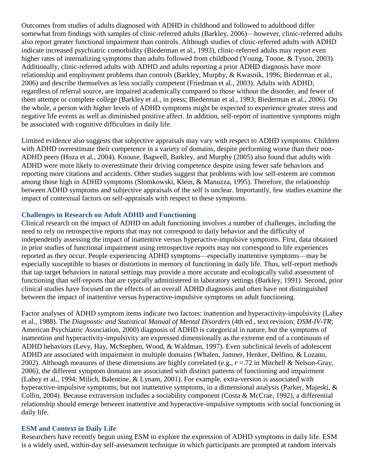Outcomes from studies of adults diagnosed with ADHD in childhood and followed to adulthood differ somewhat from findings with samples of clinic-referred adults (Barkley, 2006)—however, clinic-referred adults also report greater functional impairment than controls. Although studies of clinic-referred adults with ADHD indicate increased psychiatric comorbidity (Biederman et al., 1993), clinic-referred adults may report even higher rates of internalizing symptoms than adults followed from childhood (Young, Toone, & Tyson, 2003). Additionally, clinic-referred adults with ADHD and adults reporting a prior ADHD diagnosis have more relationship and employment problems than controls (Barkley, Murphy, & Kwasnik, 1996; Biederman et al., 2006) and describe themselves as less socially competent (Friedman et al., 2003). Adults with ADHD, regardless of referral source, are impaired academically compared to those without the disorder, and fewer of them attempt or complete college (Barkley et al., in press; Biederman et al., 1993; Biederman et al., 2006). On the whole, a person with higher levels of ADHD symptoms might be expected to experience greater stress and negative life events as well as diminished positive affect. In addition, self-report of inattentive symptoms might be associated with cognitive difficulties in daily life.

Limited evidence also suggests that subjective appraisals may vary with respect to ADHD symptoms. Children with ADHD overestimate their competence in a variety of domains, despite performing worse than their non-ADHD peers (Hoza et al., 2004). Knouse, Bagwell, Barkley, and Murphy (2005) also found that adults with ADHD were more likely to overestimate their driving competence despite using fewer safe behaviors and reporting more citations and accidents. Other studies suggest that problems with low self-esteem are common among those high in ADHD symptoms (Slomkowski, Klein, & Manuzza, 1995). Therefore, the relationship between ADHD symptoms and subjective appraisals of the self is unclear. Importantly, few studies examine the impact of contextual factors on self-appraisals with respect to these symptoms.

### **Challenges in Research on Adult ADHD and Functioning**

Clinical research on the impact of ADHD on adult functioning involves a number of challenges, including the need to rely on retrospective reports that may not correspond to daily behavior and the difficulty of independently assessing the impact of inattentive versus hyperactive-impulsive symptoms. First, data obtained in prior studies of functional impairment using retrospective reports may not correspond to life experiences reported as they occur. People experiencing ADHD symptoms—especially inattentive symptoms—may be especially susceptible to biases or distortions in memory of functioning in daily life. Thus, self-report methods that tap target behaviors in natural settings may provide a more accurate and ecologically valid assessment of functioning than self-reports that are typically administered in laboratory settings (Barkley, 1991). Second, prior clinical studies have focused on the effects of an overall ADHD diagnosis and often have not distinguished between the impact of inattentive versus hyperactive-impulsive symptoms on adult functioning.

Factor analyses of ADHD symptom items indicate two factors: inattention and hyperactivity-impulsivity (Lahey et al., 1988). The *Diagnostic and Statistical Manual of Mental Disorders* (4th ed., text revision; *DSM-IV-TR*; American Psychiatric Association, 2000) diagnosis of ADHD is categorical in nature, but the symptoms of inattention and hyperactivity-impulsivity are expressed dimensionally as the extreme end of a continuum of ADHD behaviors (Levy, Hay, McStephen, Wood, & Waldman, 1997). Even subclinical levels of adolescent ADHD are associated with impairment in multiple domains (Whalen, Jamner, Henker, Delfino, & Lozano, 2002). Although measures of these dimensions are highly correlated (e.g., *r* =.72 in Mitchell & Nelson-Gray, 2006), the different symptom domains are associated with distinct patterns of functioning and impairment (Lahey et al., 1994; Milich, Balentine, & Lynam, 2001). For example, extra-version is associated with hyperactive-impulsive symptoms, but not inattentive symptoms, in a dimensional analysis (Parker, Majeski, & Collin, 2004). Because extraversion includes a sociability component (Costa & McCrae, 1992), a differential relationship should emerge between inattentive and hyperactive-impulsive symptoms with social functioning in daily life.

# **ESM and Context in Daily Life**

Researchers have recently begun using ESM to explore the expression of ADHD symptoms in daily life. ESM is a widely used, within-day self-assessment technique in which participants are prompted at random intervals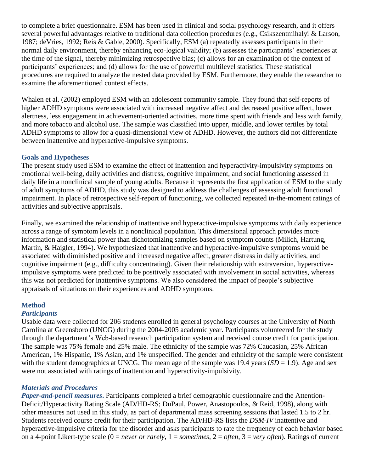to complete a brief questionnaire. ESM has been used in clinical and social psychology research, and it offers several powerful advantages relative to traditional data collection procedures (e.g., Csikszentmihalyi & Larson, 1987; deVries, 1992; Reis & Gable, 2000). Specifically, ESM (a) repeatedly assesses participants in their normal daily environment, thereby enhancing eco-logical validity; (b) assesses the participants' experiences at the time of the signal, thereby minimizing retrospective bias; (c) allows for an examination of the context of participants' experiences; and (d) allows for the use of powerful multilevel statistics. These statistical procedures are required to analyze the nested data provided by ESM. Furthermore, they enable the researcher to examine the aforementioned context effects.

Whalen et al. (2002) employed ESM with an adolescent community sample. They found that self-reports of higher ADHD symptoms were associated with increased negative affect and decreased positive affect, lower alertness, less engagement in achievement-oriented activities, more time spent with friends and less with family, and more tobacco and alcohol use. The sample was classified into upper, middle, and lower tertiles by total ADHD symptoms to allow for a quasi-dimensional view of ADHD. However, the authors did not differentiate between inattentive and hyperactive-impulsive symptoms.

### **Goals and Hypotheses**

The present study used ESM to examine the effect of inattention and hyperactivity-impulsivity symptoms on emotional well-being, daily activities and distress, cognitive impairment, and social functioning assessed in daily life in a nonclinical sample of young adults. Because it represents the first application of ESM to the study of adult symptoms of ADHD, this study was designed to address the challenges of assessing adult functional impairment. In place of retrospective self-report of functioning, we collected repeated in-the-moment ratings of activities and subjective appraisals.

Finally, we examined the relationship of inattentive and hyperactive-impulsive symptoms with daily experience across a range of symptom levels in a nonclinical population. This dimensional approach provides more information and statistical power than dichotomizing samples based on symptom counts (Milich, Hartung, Martin, & Haigler, 1994). We hypothesized that inattentive and hyperactive-impulsive symptoms would be associated with diminished positive and increased negative affect, greater distress in daily activities, and cognitive impairment (e.g., difficulty concentrating). Given their relationship with extraversion, hyperactiveimpulsive symptoms were predicted to be positively associated with involvement in social activities, whereas this was not predicted for inattentive symptoms. We also considered the impact of people's subjective appraisals of situations on their experiences and ADHD symptoms.

# **Method**

#### *Participants*

Usable data were collected for 206 students enrolled in general psychology courses at the University of North Carolina at Greensboro (UNCG) during the 2004-2005 academic year. Participants volunteered for the study through the department's Web-based research participation system and received course credit for participation. The sample was 75% female and 25% male. The ethnicity of the sample was 72% Caucasian, 25% African American, 1% Hispanic, 1% Asian, and 1% unspecified. The gender and ethnicity of the sample were consistent with the student demographics at UNCG. The mean age of the sample was 19.4 years  $(SD = 1.9)$ . Age and sex were not associated with ratings of inattention and hyperactivity-impulsivity.

# *Materials and Procedures*

*Paper-and-pencil measures***.** Participants completed a brief demographic questionnaire and the Attention-Deficit/Hyperactivity Rating Scale (AD/HD-RS; DuPaul, Power, Anastopoulos, & Reid, 1998), along with other measures not used in this study, as part of departmental mass screening sessions that lasted 1.5 to 2 hr. Students received course credit for their participation. The AD/HD-RS lists the *DSM-IV* inattentive and hyperactive-impulsive criteria for the disorder and asks participants to rate the frequency of each behavior based on a 4-point Likert-type scale (0 = *never or rarely*, 1 = *sometimes*, 2 = *often*, 3 = *very often*). Ratings of current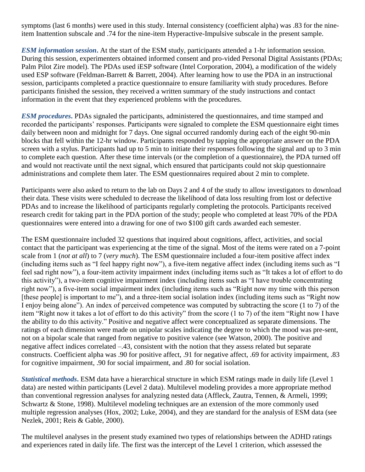symptoms (last 6 months) were used in this study. Internal consistency (coefficient alpha) was .83 for the nineitem Inattention subscale and .74 for the nine-item Hyperactive-Impulsive subscale in the present sample.

*ESM information session***.** At the start of the ESM study, participants attended a 1-hr information session. During this session, experimenters obtained informed consent and pro-vided Personal Digital Assistants (PDAs; Palm Pilot Zire model). The PDAs used iESP software (Intel Corporation, 2004), a modification of the widely used ESP software (Feldman-Barrett & Barrett, 2004). After learning how to use the PDA in an instructional session, participants completed a practice questionnaire to ensure familiarity with study procedures. Before participants finished the session, they received a written summary of the study instructions and contact information in the event that they experienced problems with the procedures.

*ESM procedures***.** PDAs signaled the participants, administered the questionnaires, and time stamped and recorded the participants' responses. Participants were signaled to complete the ESM questionnaire eight times daily between noon and midnight for 7 days. One signal occurred randomly during each of the eight 90-min blocks that fell within the 12-hr window. Participants responded by tapping the appropriate answer on the PDA screen with a stylus. Participants had up to 5 min to initiate their responses following the signal and up to 3 min to complete each question. After these time intervals (or the completion of a questionnaire), the PDA turned off and would not reactivate until the next signal, which ensured that participants could not skip questionnaire administrations and complete them later. The ESM questionnaires required about 2 min to complete.

Participants were also asked to return to the lab on Days 2 and 4 of the study to allow investigators to download their data. These visits were scheduled to decrease the likelihood of data loss resulting from lost or defective PDAs and to increase the likelihood of participants regularly completing the protocols. Participants received research credit for taking part in the PDA portion of the study; people who completed at least 70% of the PDA questionnaires were entered into a drawing for one of two \$100 gift cards awarded each semester.

The ESM questionnaire included 32 questions that inquired about cognitions, affect, activities, and social contact that the participant was experiencing at the time of the signal. Most of the items were rated on a 7-point scale from 1 (*not at all*) to 7 (*very much*). The ESM questionnaire included a four-item positive affect index (including items such as "I feel happy right now"), a five-item negative affect index (including items such as "I feel sad right now"), a four-item activity impairment index (including items such as "It takes a lot of effort to do this activity"), a two-item cognitive impairment index (including items such as "I have trouble concentrating right now"), a five-item social impairment index (including items such as "Right now my time with this person [these people] is important to me"), and a three-item social isolation index (including items such as "Right now I enjoy being alone"). An index of perceived competence was computed by subtracting the score (1 to 7) of the item "Right now it takes a lot of effort to do this activity" from the score (1 to 7) of the item "Right now I have the ability to do this activity." Positive and negative affect were conceptualized as separate dimensions. The ratings of each dimension were made on unipolar scales indicating the degree to which the mood was pre-sent, not on a bipolar scale that ranged from negative to positive valence (see Watson, 2000). The positive and negative affect indices correlated –.43, consistent with the notion that they assess related but separate constructs. Coefficient alpha was .90 for positive affect, .91 for negative affect, .69 for activity impairment, .83 for cognitive impairment, .90 for social impairment, and .80 for social isolation.

*Statistical methods***.** ESM data have a hierarchical structure in which ESM ratings made in daily life (Level 1 data) are nested within participants (Level 2 data). Multilevel modeling provides a more appropriate method than conventional regression analyses for analyzing nested data (Affleck, Zautra, Tennen, & Armeli, 1999; Schwartz & Stone, 1998). Multilevel modeling techniques are an extension of the more commonly used multiple regression analyses (Hox, 2002; Luke, 2004), and they are standard for the analysis of ESM data (see Nezlek, 2001; Reis & Gable, 2000).

The multilevel analyses in the present study examined two types of relationships between the ADHD ratings and experiences rated in daily life. The first was the intercept of the Level 1 criterion, which assessed the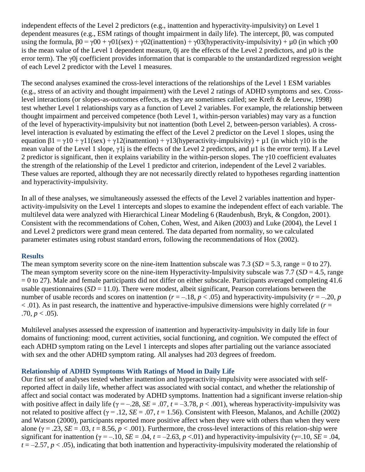independent effects of the Level 2 predictors (e.g., inattention and hyperactivity-impulsivity) on Level 1 dependent measures (e.g., ESM ratings of thought impairment in daily life). The intercept, β0, was computed using the formula,  $\beta 0 = \gamma 00 + \gamma 01(\text{sex}) + \gamma 02(\text{inattention}) + \gamma 03(\text{hyperactivity-impulsivity}) + \mu 0(\text{in which } \gamma 00$ is the mean value of the Level 1 dependent measure, 0j are the effects of the Level 2 predictors, and µ0 is the error term). The γ0j coefficient provides information that is comparable to the unstandardized regression weight of each Level 2 predictor with the Level 1 measures.

The second analyses examined the cross-level interactions of the relationships of the Level 1 ESM variables (e.g., stress of an activity and thought impairment) with the Level 2 ratings of ADHD symptoms and sex. Crosslevel interactions (or slopes-as-outcomes effects, as they are sometimes called; see Kreft & de Leeuw, 1998) test whether Level 1 relationships vary as a function of Level 2 variables. For example, the relationship between thought impairment and perceived competence (both Level 1, within-person variables) may vary as a function of the level of hyperactivity-impulsivity but not inattention (both Level 2, between-person variables). A crosslevel interaction is evaluated by estimating the effect of the Level 2 predictor on the Level 1 slopes, using the equation  $\beta$ 1 = γ10 + γ11(sex) + γ12(inattention) + γ13(hyperactivity-impulsivity) +  $\mu$ 1 (in which γ10 is the mean value of the Level 1 slope, γ1j is the effects of the Level 2 predictors, and µ1 is the error term). If a Level 2 predictor is significant, then it explains variability in the within-person slopes. The  $\gamma$ 10 coefficient evaluates the strength of the relationship of the Level 1 predictor and criterion, independent of the Level 2 variables. These values are reported, although they are not necessarily directly related to hypotheses regarding inattention and hyperactivity-impulsivity.

In all of these analyses, we simultaneously assessed the effects of the Level 2 variables inattention and hyperactivity-impulsivity on the Level 1 intercepts and slopes to examine the independent effect of each variable. The multilevel data were analyzed with Hierarchical Linear Modeling 6 (Raudenbush, Bryk, & Congdon, 2001). Consistent with the recommendations of Cohen, Cohen, West, and Aiken (2003) and Luke (2004), the Level 1 and Level 2 predictors were grand mean centered. The data departed from normality, so we calculated parameter estimates using robust standard errors, following the recommendations of Hox (2002).

#### **Results**

The mean symptom severity score on the nine-item Inattention subscale was  $7.3$  ( $SD = 5.3$ , range  $= 0$  to 27). The mean symptom severity score on the nine-item Hyperactivity-Impulsivity subscale was  $7.7$  (*SD* = 4.5, range  $= 0$  to 27). Male and female participants did not differ on either subscale. Participants averaged completing 41.6 usable questionnaires  $(SD = 11.0)$ . There were modest, albeit significant, Pearson correlations between the number of usable records and scores on inattention  $(r = -18, p < .05)$  and hyperactivity-impulsivity  $(r = -.20, p$  $<$ .01). As in past research, the inattentive and hyperactive-impulsive dimensions were highly correlated ( $r =$  $.70, p < .05$ ).

Multilevel analyses assessed the expression of inattention and hyperactivity-impulsivity in daily life in four domains of functioning: mood, current activities, social functioning, and cognition. We computed the effect of each ADHD symptom rating on the Level 1 intercepts and slopes after partialing out the variance associated with sex and the other ADHD symptom rating. All analyses had 203 degrees of freedom.

#### **Relationship of ADHD Symptoms With Ratings of Mood in Daily Life**

Our first set of analyses tested whether inattention and hyperactivity-impulsivity were associated with selfreported affect in daily life, whether affect was associated with social contact, and whether the relationship of affect and social contact was moderated by ADHD symptoms. Inattention had a significant inverse relation-ship with positive affect in daily life ( $\gamma = -0.28$ ,  $SE = 0.07$ ,  $t = -3.78$ ,  $p < 0.001$ ), whereas hyperactivity-impulsivity was not related to positive affect ( $γ = .12$ ,  $SE = .07$ ,  $t = 1.56$ ). Consistent with Fleeson, Malanos, and Achille (2002) and Watson (2000), participants reported more positive affect when they were with others than when they were alone ( $\gamma$  = .23, *SE* = .03, *t* = 8.56, *p* < .001). Furthermore, the cross-level interactions of this relation-ship were significant for inattention ( $\gamma = -10$ , *SE* = .04,  $t = -2.63$ ,  $p < 0.01$ ) and hyperactivity-impulsivity ( $\gamma = 10$ , *SE* = .04,  $t = -2.57$ ,  $p < .05$ ), indicating that both inattention and hyperactivity-impulsivity moderated the relationship of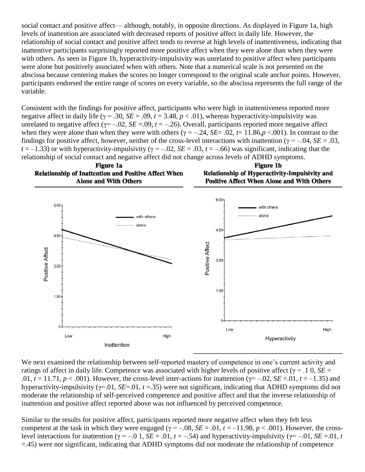social contact and positive affect— although, notably, in opposite directions. As displayed in Figure 1a, high levels of inattention are associated with decreased reports of positive affect in daily life. However, the relationship of social contact and positive affect tends to reverse at high levels of inattentiveness, indicating that inattentive participants surprisingly reported more positive affect when they were alone than when they were with others. As seen in Figure 1b, hyperactivity-impulsivity was unrelated to positive affect when participants were alone but positively associated when with others. Note that a numerical scale is not presented on the abscissa because centering makes the scores no longer correspond to the original scale anchor points. However, participants endorsed the entire range of scores on every variable, so the abscissa represents the full range of the variable.

Consistent with the findings for positive affect, participants who were high in inattentiveness reported more negative affect in daily life (γ = .30, *SE* = .09, *t* = 3.48, *p* < .01), whereas hyperactivity-impulsivity was unrelated to negative affect ( $\gamma$ = -.02, *SE* =.09, *t* = -.26). Overall, participants reported more negative affect when they were alone than when they were with others ( $\gamma = -0.24$ , *SE*= .02, *t*= 11.86,*p* <.001). In contrast to the findings for positive affect, however, neither of the cross-level interactions with inattention ( $\gamma = -0.04$ ,  $SE = 0.03$ ,  $t = -1.33$ ) or with hyperactivity-impulsivity ( $\gamma = -0.02$ ,  $SE = 0.03$ ,  $t = -0.66$ ) was significant, indicating that the relationship of social contact and negative affect did not change across levels of ADHD symptoms.



We next examined the relationship between self-reported mastery of competence in one's current activity and ratings of affect in daily life. Competence was associated with higher levels of positive affect ( $γ = .10$ , *SE* = .01,  $t = 11.71$ ,  $p < .001$ ). However, the cross-level inter-actions for inattention ( $\gamma = -.02$ ,  $SE = .01$ ,  $t = -1.35$ ) and hyperactivity-impulsivity (γ=.01, *SE*=.01, *t* =.35) were not significant, indicating that ADHD symptoms did not moderate the relationship of self-perceived competence and positive affect and that the inverse relationship of inattention and positive affect reported above was not influenced by perceived competence.

Similar to the results for positive affect, participants reported more negative affect when they felt less competent at the task in which they were engaged ( $\gamma = -0.08$ ,  $SE = .01$ ,  $t = -11.98$ ,  $p < .001$ ). However, the crosslevel interactions for inattention ( $\gamma = -0.01$ ,  $SE = 0.01$ ,  $t = -0.54$ ) and hyperactivity-impulsivity ( $\gamma = -0.01$ ,  $SE = 0.01$ ,  $t = 0.01$ =.45) were not significant, indicating that ADHD symptoms did not moderate the relationship of competence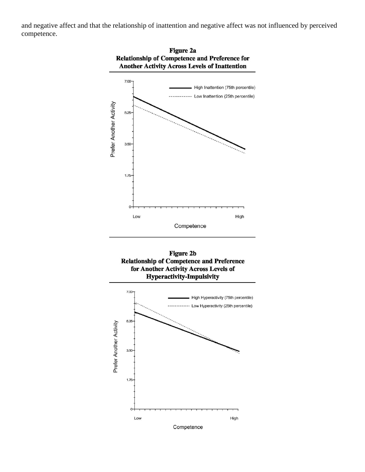and negative affect and that the relationship of inattention and negative affect was not influenced by perceived competence.





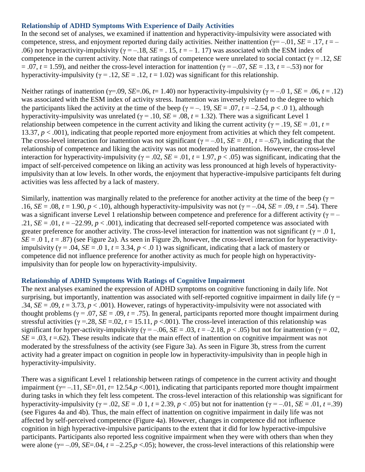### **Relationship of ADHD Symptoms With Experience of Daily Activities**

In the second set of analyses, we examined if inattention and hyperactivity-impulsivity were associated with competence, stress, and enjoyment reported during daily activities. Neither inattention (γ= –.01, *SE* = .17, *t* = – .06) nor hyperactivity-impulsivity ( $\gamma = -.18$ ,  $SE = .15$ ,  $t = -1.17$ ) was associated with the ESM index of competence in the current activity. Note that ratings of competence were unrelated to social contact (γ = .12, *SE*  $= .07$ ,  $t = 1.59$ ), and neither the cross-level interaction for inattention ( $\gamma = -.07$ ,  $SE = .13$ ,  $t = -.53$ ) nor for hyperactivity-impulsivity ( $\gamma = .12$ , *SE* = .12, *t* = 1.02) was significant for this relationship.

Neither ratings of inattention (γ=.09, *SE*=.06, *t*= 1.40) nor hyperactivity-impulsivity (γ = –.0 1, *SE* = .06, *t* = .12) was associated with the ESM index of activity stress. Inattention was inversely related to the degree to which the participants liked the activity at the time of the beep ( $\gamma = -1.19$ , *SE* = .07, *t* = -2.54, *p* < .0 1), although hyperactivity-impulsivity was unrelated ( $\gamma$  = .10, *SE* = .08, *t* = 1.32). There was a significant Level 1 relationship between competence in the current activity and liking the current activity ( $\gamma = .19$ , *SE* = .01, *t* = 13.37,  $p < .001$ ), indicating that people reported more enjoyment from activities at which they felt competent. The cross-level interaction for inattention was not significant ( $\gamma = -0.01$ ,  $SE = 0.01$ ,  $t = -0.67$ ), indicating that the relationship of competence and liking the activity was not moderated by inattention. However, the cross-level interaction for hyperactivity-impulsivity ( $\gamma = .02$ ,  $SE = .01$ ,  $t = 1.97$ ,  $p < .05$ ) was significant, indicating that the impact of self-perceived competence on liking an activity was less pronounced at high levels of hyperactivityimpulsivity than at low levels. In other words, the enjoyment that hyperactive-impulsive participants felt during activities was less affected by a lack of mastery.

Similarly, inattention was marginally related to the preference for another activity at the time of the beep ( $\gamma$  = .16,  $SE = .08$ ,  $t = 1.90$ ,  $p < .10$ ), although hyperactivity-impulsivity was not ( $\gamma = -.04$ ,  $SE = .09$ ,  $t = .54$ ). There was a significant inverse Level 1 relationship between competence and preference for a different activity ( $\gamma = -$ .21,  $SE = .01$ ,  $t = -22.99$ ,  $p < .001$ ), indicating that decreased self-reported competence was associated with greater preference for another activity. The cross-level interaction for inattention was not significant ( $\gamma = 0.01$ ,  $SE = .0$  1,  $t = .87$ ) (see Figure 2a). As seen in Figure 2b, however, the cross-level interaction for hyperactivityimpulsivity ( $\gamma = 0.04$ , *SE* = .0 1, *t* = 3.34, *p* < .0 1) was significant, indicating that a lack of mastery or competence did not influence preference for another activity as much for people high on hyperactivityimpulsivity than for people low on hyperactivity-impulsivity.

#### **Relationship of ADHD Symptoms With Ratings of Cognitive Impairment**

The next analyses examined the expression of ADHD symptoms on cognitive functioning in daily life. Not surprising, but importantly, inattention was associated with self-reported cognitive impairment in daily life ( $\gamma$  = .34,  $SE = .09$ ,  $t = 3.73$ ,  $p < .001$ ). However, ratings of hyperactivity-impulsivity were not associated with thought problems ( $\gamma = .07$ , *SE* = .09, *t* = .75). In general, participants reported more thought impairment during stressful activities ( $\gamma$  =.28, *SE* =.02,  $t = 15.11$ ,  $p < .001$ ). The cross-level interaction of this relationship was significant for hyper-activity-impulsivity ( $\gamma = -.06$ ,  $SE = .03$ ,  $t = -2.18$ ,  $p < .05$ ) but not for inattention ( $\gamma = .02$ ,  $SE = .03$ ,  $t = .62$ ). These results indicate that the main effect of inattention on cognitive impairment was not moderated by the stressfulness of the activity (see Figure 3a). As seen in Figure 3b, stress from the current activity had a greater impact on cognition in people low in hyperactivity-impulsivity than in people high in hyperactivity-impulsivity.

There was a significant Level 1 relationship between ratings of competence in the current activity and thought impairment ( $\gamma$ = -.11, *SE*=.01, *t*= 12.54,*p* <.001), indicating that participants reported more thought impairment during tasks in which they felt less competent. The cross-level interaction of this relationship was significant for hyperactivity-impulsivity ( $\gamma = .02$ , *SE* = .0 1, *t* = 2.39, *p* < .05) but not for inattention ( $\gamma = -.01$ , *SE* = .01, *t* = .39) (see Figures 4a and 4b). Thus, the main effect of inattention on cognitive impairment in daily life was not affected by self-perceived competence (Figure 4a). However, changes in competence did not influence cognition in high hyperactive-impulsive participants to the extent that it did for low hyperactive-impulsive participants. Participants also reported less cognitive impairment when they were with others than when they were alone ( $\gamma$ = –.09, *SE*=.04, *t* = –2.25,*p* <.05); however, the cross-level interactions of this relationship were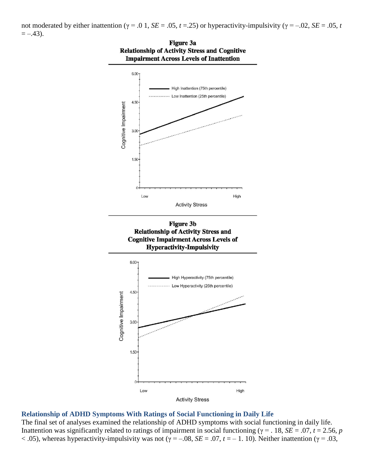not moderated by either inattention (γ = .0 1, *SE* = .05, *t* = .25) or hyperactivity-impulsivity (γ = -.02, *SE* = .05, *t*  $=-.43$ ).



#### **Relationship of ADHD Symptoms With Ratings of Social Functioning in Daily Life**

The final set of analyses examined the relationship of ADHD symptoms with social functioning in daily life. Inattention was significantly related to ratings of impairment in social functioning ( $\gamma = 0.18$ , *SE* = .07, *t* = 2.56, *p* < .05), whereas hyperactivity-impulsivity was not ( $\gamma = -0.08$ , *SE* = .07, *t* = −1. 10). Neither inattention ( $\gamma = .03$ ,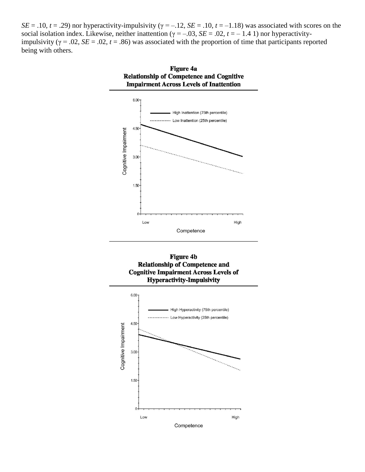*SE* = .10, *t* = .29) nor hyperactivity-impulsivity ( $\gamma$  = -.12, *SE* = .10, *t* = -1.18) was associated with scores on the social isolation index. Likewise, neither inattention ( $\gamma = -.03$ ,  $SE = .02$ ,  $t = -1.4$  1) nor hyperactivityimpulsivity ( $\gamma$  = .02, *SE* = .02, *t* = .86) was associated with the proportion of time that participants reported being with others.





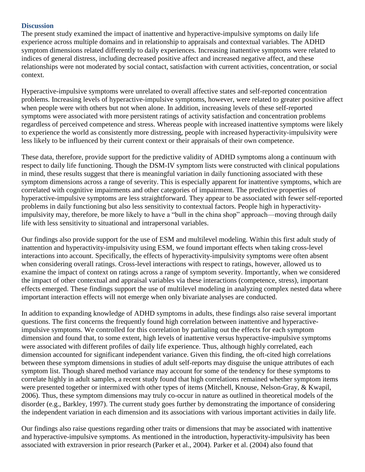### **Discussion**

The present study examined the impact of inattentive and hyperactive-impulsive symptoms on daily life experience across multiple domains and in relationship to appraisals and contextual variables. The ADHD symptom dimensions related differently to daily experiences. Increasing inattentive symptoms were related to indices of general distress, including decreased positive affect and increased negative affect, and these relationships were not moderated by social contact, satisfaction with current activities, concentration, or social context.

Hyperactive-impulsive symptoms were unrelated to overall affective states and self-reported concentration problems. Increasing levels of hyperactive-impulsive symptoms, however, were related to greater positive affect when people were with others but not when alone. In addition, increasing levels of these self-reported symptoms were associated with more persistent ratings of activity satisfaction and concentration problems regardless of perceived competence and stress. Whereas people with increased inattentive symptoms were likely to experience the world as consistently more distressing, people with increased hyperactivity-impulsivity were less likely to be influenced by their current context or their appraisals of their own competence.

These data, therefore, provide support for the predictive validity of ADHD symptoms along a continuum with respect to daily life functioning. Though the DSM-IV symptom lists were constructed with clinical populations in mind, these results suggest that there is meaningful variation in daily functioning associated with these symptom dimensions across a range of severity. This is especially apparent for inattentive symptoms, which are correlated with cognitive impairments and other categories of impairment. The predictive properties of hyperactive-impulsive symptoms are less straightforward. They appear to be associated with fewer self-reported problems in daily functioning but also less sensitivity to contextual factors. People high in hyperactivityimpulsivity may, therefore, be more likely to have a "bull in the china shop" approach—moving through daily life with less sensitivity to situational and intrapersonal variables.

Our findings also provide support for the use of ESM and multilevel modeling. Within this first adult study of inattention and hyperactivity-impulsivity using ESM, we found important effects when taking cross-level interactions into account. Specifically, the effects of hyperactivity-impulsivity symptoms were often absent when considering overall ratings. Cross-level interactions with respect to ratings, however, allowed us to examine the impact of context on ratings across a range of symptom severity. Importantly, when we considered the impact of other contextual and appraisal variables via these interactions (competence, stress), important effects emerged. These findings support the use of multilevel modeling in analyzing complex nested data where important interaction effects will not emerge when only bivariate analyses are conducted.

In addition to expanding knowledge of ADHD symptoms in adults, these findings also raise several important questions. The first concerns the frequently found high correlation between inattentive and hyperactiveimpulsive symptoms. We controlled for this correlation by partialing out the effects for each symptom dimension and found that, to some extent, high levels of inattentive versus hyperactive-impulsive symptoms were associated with different profiles of daily life experience. Thus, although highly correlated, each dimension accounted for significant independent variance. Given this finding, the oft-cited high correlations between these symptom dimensions in studies of adult self-reports may disguise the unique attributes of each symptom list. Though shared method variance may account for some of the tendency for these symptoms to correlate highly in adult samples, a recent study found that high correlations remained whether symptom items were presented together or intermixed with other types of items (Mitchell, Knouse, Nelson-Gray, & Kwapil, 2006). Thus, these symptom dimensions may truly co-occur in nature as outlined in theoretical models of the disorder (e.g., Barkley, 1997). The current study goes further by demonstrating the importance of considering the independent variation in each dimension and its associations with various important activities in daily life.

Our findings also raise questions regarding other traits or dimensions that may be associated with inattentive and hyperactive-impulsive symptoms. As mentioned in the introduction, hyperactivity-impulsivity has been associated with extraversion in prior research (Parker et al., 2004). Parker et al. (2004) also found that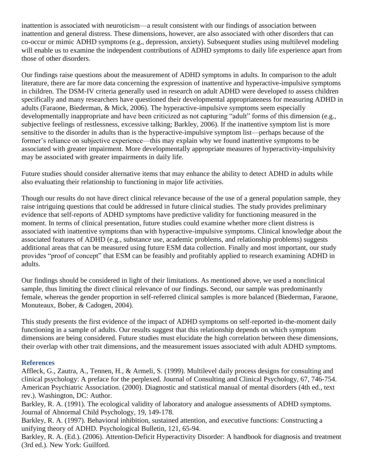inattention is associated with neuroticism—a result consistent with our findings of association between inattention and general distress. These dimensions, however, are also associated with other disorders that can co-occur or mimic ADHD symptoms (e.g., depression, anxiety). Subsequent studies using multilevel modeling will enable us to examine the independent contributions of ADHD symptoms to daily life experience apart from those of other disorders.

Our findings raise questions about the measurement of ADHD symptoms in adults. In comparison to the adult literature, there are far more data concerning the expression of inattentive and hyperactive-impulsive symptoms in children. The DSM-IV criteria generally used in research on adult ADHD were developed to assess children specifically and many researchers have questioned their developmental appropriateness for measuring ADHD in adults (Faraone, Biederman, & Mick, 2006). The hyperactive-impulsive symptoms seem especially developmentally inappropriate and have been criticized as not capturing "adult" forms of this dimension (e.g., subjective feelings of restlessness, excessive talking; Barkley, 2006). If the inattentive symptom list is more sensitive to the disorder in adults than is the hyperactive-impulsive symptom list—perhaps because of the former's reliance on subjective experience—this may explain why we found inattentive symptoms to be associated with greater impairment. More developmentally appropriate measures of hyperactivity-impulsivity may be associated with greater impairments in daily life.

Future studies should consider alternative items that may enhance the ability to detect ADHD in adults while also evaluating their relationship to functioning in major life activities.

Though our results do not have direct clinical relevance because of the use of a general population sample, they raise intriguing questions that could be addressed in future clinical studies. The study provides preliminary evidence that self-reports of ADHD symptoms have predictive validity for functioning measured in the moment. In terms of clinical presentation, future studies could examine whether more client distress is associated with inattentive symptoms than with hyperactive-impulsive symptoms. Clinical knowledge about the associated features of ADHD (e.g., substance use, academic problems, and relationship problems) suggests additional areas that can be measured using future ESM data collection. Finally and most important, our study provides "proof of concept" that ESM can be feasibly and profitably applied to research examining ADHD in adults.

Our findings should be considered in light of their limitations. As mentioned above, we used a nonclinical sample, thus limiting the direct clinical relevance of our findings. Second, our sample was predominantly female, whereas the gender proportion in self-referred clinical samples is more balanced (Biederman, Faraone, Monuteaux, Bober, & Cadogen, 2004).

This study presents the first evidence of the impact of ADHD symptoms on self-reported in-the-moment daily functioning in a sample of adults. Our results suggest that this relationship depends on which symptom dimensions are being considered. Future studies must elucidate the high correlation between these dimensions, their overlap with other trait dimensions, and the measurement issues associated with adult ADHD symptoms.

# **References**

Affleck, G., Zautra, A., Tennen, H., & Armeli, S. (1999). Multilevel daily process designs for consulting and clinical psychology: A preface for the perplexed. Journal of Consulting and Clinical Psychology, 67, 746-754. American Psychiatric Association. (2000). Diagnostic and statistical manual of mental disorders (4th ed., text rev.). Washington, DC: Author.

Barkley, R. A. (1991). The ecological validity of laboratory and analogue assessments of ADHD symptoms. Journal of Abnormal Child Psychology, 19, 149-178.

Barkley, R. A. (1997). Behavioral inhibition, sustained attention, and executive functions: Constructing a unifying theory of ADHD. Psychological Bulletin, 121, 65-94.

Barkley, R. A. (Ed.). (2006). Attention-Deficit Hyperactivity Disorder: A handbook for diagnosis and treatment (3rd ed.). New York: Guilford.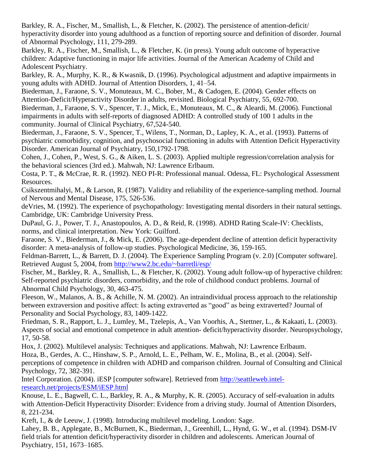Barkley, R. A., Fischer, M., Smallish, L., & Fletcher, K. (2002). The persistence of attention-deficit/ hyperactivity disorder into young adulthood as a function of reporting source and definition of disorder. Journal of Abnormal Psychology, 111, 279-289.

Barkley, R. A., Fischer, M., Smallish, L., & Fletcher, K. (in press). Young adult outcome of hyperactive children: Adaptive functioning in major life activities. Journal of the American Academy of Child and Adolescent Psychiatry.

Barkley, R. A., Murphy, K. R., & Kwasnik, D. (1996). Psychological adjustment and adaptive impairments in young adults with ADHD. Journal of Attention Disorders, 1, 41–54.

Biederman, J., Faraone, S. V., Monuteaux, M. C., Bober, M., & Cadogen, E. (2004). Gender effects on Attention-Deficit/Hyperactivity Disorder in adults, revisited. Biological Psychiatry, 55, 692-700.

Biederman, J., Faraone, S. V., Spencer, T. J., Mick, E., Monuteaux, M. C., & Aleardi, M. (2006). Functional impairments in adults with self-reports of diagnosed ADHD: A controlled study of 100 1 adults in the community. Journal of Clinical Psychiatry, 67,524-540.

Biederman, J., Faraone, S. V., Spencer, T., Wilens, T., Norman, D., Lapley, K. A., et al. (1993). Patterns of psychiatric comorbidity, cognition, and psychosocial functioning in adults with Attention Deficit Hyperactivity Disorder. American Journal of Psychiatry, 150,1792-1798.

Cohen, J., Cohen, P., West, S. G., & Aiken, L. S. (2003). Applied multiple regression/correlation analysis for the behavioral sciences (3rd ed.). Mahwah, NJ: Lawrence Erlbaum.

Costa, P. T., & McCrae, R. R. (1992). NEO PI-R: Professional manual. Odessa, FL: Psychological Assessment Resources.

Csikszentmihalyi, M., & Larson, R. (1987). Validity and reliability of the experience-sampling method. Journal of Nervous and Mental Disease, 175, 526-536.

deVries, M. (1992). The experience of psychopathology: Investigating mental disorders in their natural settings. Cambridge, UK: Cambridge University Press.

DuPaul, G. J., Power, T. J., Anastopoulos, A. D., & Reid, R. (1998). ADHD Rating Scale-IV: Checklists, norms, and clinical interpretation. New York: Guilford.

Faraone, S. V., Biederman, J., & Mick, E. (2006). The age-dependent decline of attention deficit hyperactivity disorder: A meta-analysis of follow-up studies. Psychological Medicine, 36, 159-165.

Feldman-Barrett, L., & Barrett, D. J. (2004). The Experience Sampling Program (v. 2.0) [Computer software]. Retrieved August 5, 2004, from<http://www2.bc.edu/~barretli/esp/>

Fischer, M., Barkley, R. A., Smallish, L., & Fletcher, K. (2002). Young adult follow-up of hyperactive children: Self-reported psychiatric disorders, comorbidity, and the role of childhood conduct problems. Journal of Abnormal Child Psychology, 30, 463-475.

Fleeson, W., Malanos, A. B., & Achille, N. M. (2002). An intraindividual process approach to the relationship between extraversion and positive affect: Is acting extraverted as "good" as being extraverted? Journal of Personality and Social Psychology, 83, 1409-1422.

Friedman, S. R., Rapport, L. J., Lumley, M., Tzelepis, A., Van Voorhis, A., Stettner, L., & Kakaati, L. (2003). Aspects of social and emotional competence in adult attention- deficit/hyperactivity disorder. Neuropsychology, 17, 50-58.

Hox, J. (2002). Multilevel analysis: Techniques and applications. Mahwah, NJ: Lawrence Erlbaum. Hoza, B., Gerdes, A. C., Hinshaw, S. P., Arnold, L. E., Pelham, W. E., Molina, B., et al. (2004). Selfperceptions of competence in children with ADHD and comparison children. Journal of Consulting and Clinical Psychology, 72, 382-391.

Intel Corporation. (2004). iESP [computer software]. Retrieved from [http://seattleweb.intel](http://seattleweb.intel-research.net/projects/ESM/iESP.html)[research.net/projects/ESM/iESP.html](http://seattleweb.intel-research.net/projects/ESM/iESP.html)

Knouse, L. E., Bagwell, C. L., Barkley, R. A., & Murphy, K. R. (2005). Accuracy of self-evaluation in adults with Attention-Deficit Hyperactivity Disorder: Evidence from a driving study. Journal of Attention Disorders, 8, 221-234.

Kreft, I., & de Leeuw, J. (1998). Introducing multilevel modeling. London: Sage.

Lahey, B. B., Applegate, B., McBurnett, K., Biederman, J., Greenhill, L., Hynd, G. W., et al. (1994). DSM-IV field trials for attention deficit/hyperactivity disorder in children and adolescents. American Journal of Psychiatry, 151, 1673–1685.